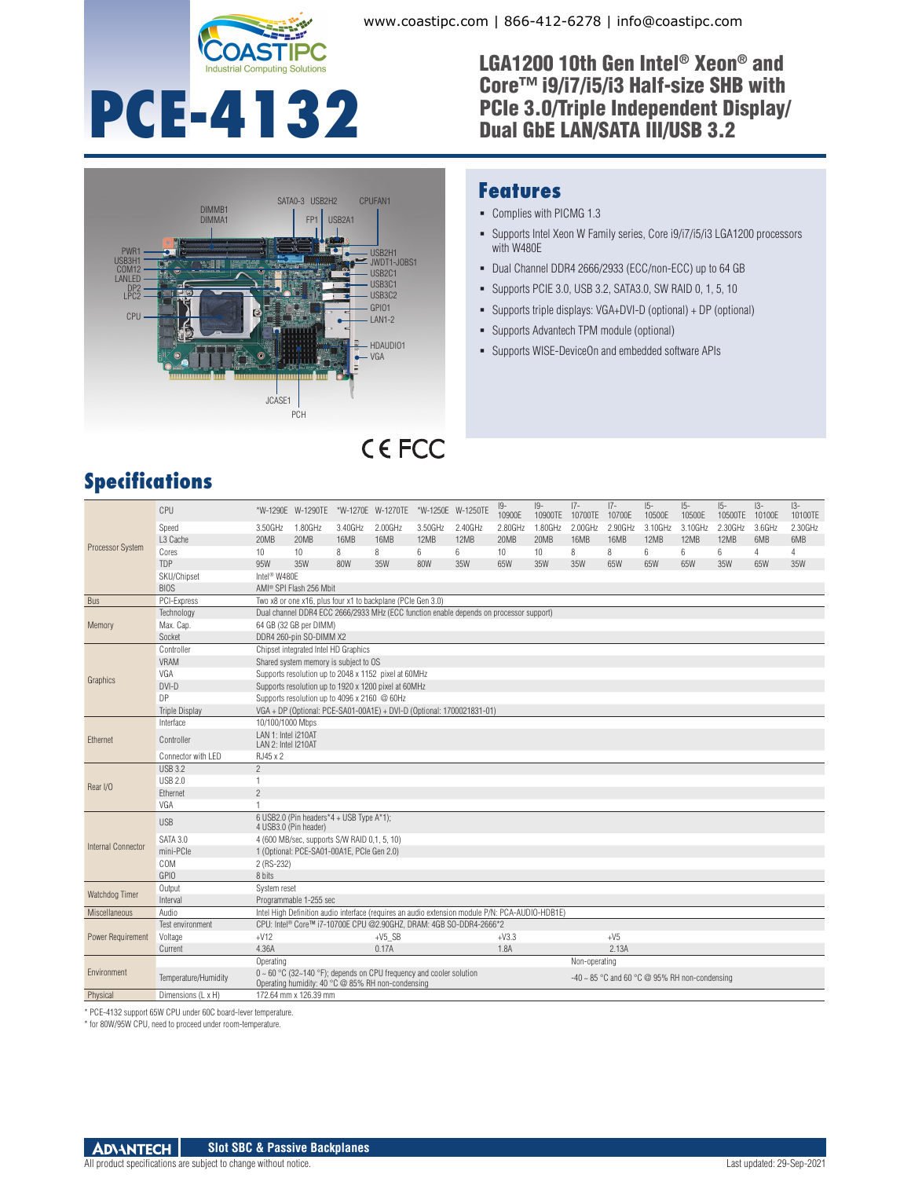

**PCE-4132**

#### www.coastipc.com | 866-412-6278 | info@coastipc.com

**Features**

with W480E

Complies with PICMG 1.3

LGA1200 10th Gen Intel® Xeon® and Core™ i9/i7/i5/i3 Half-size SHB with PCIe 3.0/Triple Independent Display/ Dual GbE LAN/SATA III/USB 3.2

Supports Intel Xeon W Family series, Core i9/i7/i5/i3 LGA1200 processors

 Dual Channel DDR4 2666/2933 (ECC/non-ECC) up to 64 GB Supports PCIE 3.0, USB 3.2, SATA3.0, SW RAID 0, 1, 5, 10 Supports triple displays: VGA+DVI-D (optional) + DP (optional)

Supports WISE-DeviceOn and embedded software APIs

Supports Advantech TPM module (optional)



# **CEFCC**

## **Specifications**

| Processor System      | CPU                   |                                                                                                                                                                       | *W-1290E W-1290TE *W-1270E W-1270TE *W-1250E W-1250TE                                                                                                 |         |          |         |         | $ 9-$<br>10900E  | $ 9-$<br>10900TE | $ 7-$<br>10700TE | $17-$<br>10700E                                    | $ 5-$<br>10500E | $15-$<br>10500E | $15-$<br>10500TE | $ 3-$<br>10100E | $13-$<br>10100TE |
|-----------------------|-----------------------|-----------------------------------------------------------------------------------------------------------------------------------------------------------------------|-------------------------------------------------------------------------------------------------------------------------------------------------------|---------|----------|---------|---------|------------------|------------------|------------------|----------------------------------------------------|-----------------|-----------------|------------------|-----------------|------------------|
|                       | Speed                 | 3.50GHz                                                                                                                                                               | 1.80GHz                                                                                                                                               | 3.40GHz | 2.00GHz  | 3.50GHz | 2.40GHz | 2.80GHz          | 1.80GHz          | 2.00GHz          | 2.90GHz                                            | 3.10GHz         | 3.10GHz         | 2.30GHz          | 3.6GHz          | 2.30GHz          |
|                       | L <sub>3</sub> Cache  | 20MB                                                                                                                                                                  | 20MB                                                                                                                                                  | 16MB    | 16MB     | 12MB    | 12MB    | 20MB             | 20MB             | 16MB             | 16MB                                               | 12MB            | 12MB            | 12MB             | 6MB             | 6MB              |
|                       | Cores                 | 10                                                                                                                                                                    | 10                                                                                                                                                    | 8       | 8        | 6       | 6       | 10 <sup>10</sup> | 10 <sup>1</sup>  | 8                | 8                                                  | 6               | 6               | 6                | $\overline{4}$  | 4                |
|                       | TDP                   | 95W                                                                                                                                                                   | 35W                                                                                                                                                   | 80W     | 35W      | 80W     | 35W     | 65W              | 35W              | 35W              | 65W                                                | 65W             | 65W             | 35W              | 65W             | 35W              |
|                       | SKU/Chipset           | Intel <sup>®</sup> W480E                                                                                                                                              |                                                                                                                                                       |         |          |         |         |                  |                  |                  |                                                    |                 |                 |                  |                 |                  |
|                       | <b>BIOS</b>           |                                                                                                                                                                       | AMI® SPI Flash 256 Mbit                                                                                                                               |         |          |         |         |                  |                  |                  |                                                    |                 |                 |                  |                 |                  |
| <b>Bus</b>            | PCI-Express           |                                                                                                                                                                       | Two x8 or one x16, plus four x1 to backplane (PCIe Gen 3.0)<br>Dual channel DDR4 ECC 2666/2933 MHz (ECC function enable depends on processor support) |         |          |         |         |                  |                  |                  |                                                    |                 |                 |                  |                 |                  |
| Memory                | Technology            |                                                                                                                                                                       |                                                                                                                                                       |         |          |         |         |                  |                  |                  |                                                    |                 |                 |                  |                 |                  |
|                       | Max. Cap.             |                                                                                                                                                                       | 64 GB (32 GB per DIMM)                                                                                                                                |         |          |         |         |                  |                  |                  |                                                    |                 |                 |                  |                 |                  |
|                       | Socket                |                                                                                                                                                                       | DDR4 260-pin SO-DIMM X2                                                                                                                               |         |          |         |         |                  |                  |                  |                                                    |                 |                 |                  |                 |                  |
| Graphics              | Controller            | Chipset integrated Intel HD Graphics                                                                                                                                  |                                                                                                                                                       |         |          |         |         |                  |                  |                  |                                                    |                 |                 |                  |                 |                  |
|                       | <b>VRAM</b>           |                                                                                                                                                                       | Shared system memory is subject to OS                                                                                                                 |         |          |         |         |                  |                  |                  |                                                    |                 |                 |                  |                 |                  |
|                       | VGA                   | Supports resolution up to 2048 x 1152 pixel at 60MHz                                                                                                                  |                                                                                                                                                       |         |          |         |         |                  |                  |                  |                                                    |                 |                 |                  |                 |                  |
|                       | DVI-D                 | Supports resolution up to 1920 x 1200 pixel at 60MHz                                                                                                                  |                                                                                                                                                       |         |          |         |         |                  |                  |                  |                                                    |                 |                 |                  |                 |                  |
|                       | DP                    | Supports resolution up to 4096 x 2160 @ 60Hz<br>VGA + DP (Optional: PCE-SA01-00A1E) + DVI-D (Optional: 1700021831-01)                                                 |                                                                                                                                                       |         |          |         |         |                  |                  |                  |                                                    |                 |                 |                  |                 |                  |
|                       | <b>Triple Display</b> |                                                                                                                                                                       |                                                                                                                                                       |         |          |         |         |                  |                  |                  |                                                    |                 |                 |                  |                 |                  |
|                       | Interface             | 10/100/1000 Mbps                                                                                                                                                      |                                                                                                                                                       |         |          |         |         |                  |                  |                  |                                                    |                 |                 |                  |                 |                  |
| Ethernet              | Controller            | LAN 1: Intel i210AT<br>LAN 2: Intel I210AT                                                                                                                            |                                                                                                                                                       |         |          |         |         |                  |                  |                  |                                                    |                 |                 |                  |                 |                  |
|                       | Connector with LED    | RJ45 x 2                                                                                                                                                              |                                                                                                                                                       |         |          |         |         |                  |                  |                  |                                                    |                 |                 |                  |                 |                  |
| Rear I/O              | <b>USB 3.2</b>        | $\overline{2}$                                                                                                                                                        |                                                                                                                                                       |         |          |         |         |                  |                  |                  |                                                    |                 |                 |                  |                 |                  |
|                       | <b>USB 2.0</b>        | $\mathbf{1}$                                                                                                                                                          |                                                                                                                                                       |         |          |         |         |                  |                  |                  |                                                    |                 |                 |                  |                 |                  |
|                       | Ethernet              | $\overline{2}$                                                                                                                                                        |                                                                                                                                                       |         |          |         |         |                  |                  |                  |                                                    |                 |                 |                  |                 |                  |
|                       | VGA                   |                                                                                                                                                                       |                                                                                                                                                       |         |          |         |         |                  |                  |                  |                                                    |                 |                 |                  |                 |                  |
| Internal Connector    | <b>USB</b>            | 4 USB3.0 (Pin header)                                                                                                                                                 | 6 USB2.0 (Pin headers*4 + USB Type A*1):                                                                                                              |         |          |         |         |                  |                  |                  |                                                    |                 |                 |                  |                 |                  |
|                       | SATA 3.0              |                                                                                                                                                                       | 4 (600 MB/sec, supports S/W RAID 0.1.5.10)                                                                                                            |         |          |         |         |                  |                  |                  |                                                    |                 |                 |                  |                 |                  |
|                       | mini-PCle             |                                                                                                                                                                       | 1 (Optional: PCE-SA01-00A1E, PCIe Gen 2.0)                                                                                                            |         |          |         |         |                  |                  |                  |                                                    |                 |                 |                  |                 |                  |
|                       | COM                   | 2 (RS-232)                                                                                                                                                            |                                                                                                                                                       |         |          |         |         |                  |                  |                  |                                                    |                 |                 |                  |                 |                  |
|                       | GPIO                  | 8 bits                                                                                                                                                                |                                                                                                                                                       |         |          |         |         |                  |                  |                  |                                                    |                 |                 |                  |                 |                  |
| <b>Watchdog Timer</b> | Output                | System reset                                                                                                                                                          |                                                                                                                                                       |         |          |         |         |                  |                  |                  |                                                    |                 |                 |                  |                 |                  |
|                       | Interval              |                                                                                                                                                                       | Programmable 1-255 sec                                                                                                                                |         |          |         |         |                  |                  |                  |                                                    |                 |                 |                  |                 |                  |
| <b>Miscellaneous</b>  | Audio                 | Intel High Definition audio interface (requires an audio extension module P/N: PCA-AUDIO-HDB1E)<br>CPU: Intel® Core™ i7-10700E CPU @2.90GHZ, DRAM: 4GB SO-DDR4-2666*2 |                                                                                                                                                       |         |          |         |         |                  |                  |                  |                                                    |                 |                 |                  |                 |                  |
| Power Requirement     | Test environment      |                                                                                                                                                                       |                                                                                                                                                       |         |          |         |         |                  |                  |                  |                                                    |                 |                 |                  |                 |                  |
|                       | Voltage               | $+V12$                                                                                                                                                                |                                                                                                                                                       |         | $+V5$ SB |         |         | $+V3.3$          |                  |                  | $+V5$                                              |                 |                 |                  |                 |                  |
| Environment           | Current               | 4.36A                                                                                                                                                                 |                                                                                                                                                       |         | 0.17A    |         |         | 1.8A             |                  |                  | 2.13A                                              |                 |                 |                  |                 |                  |
|                       |                       | Operating                                                                                                                                                             |                                                                                                                                                       |         |          |         |         |                  |                  | Non-operating    |                                                    |                 |                 |                  |                 |                  |
|                       | Temperature/Humidity  |                                                                                                                                                                       | $0 \sim 60$ °C (32~140 °F); depends on CPU frequency and cooler solution<br>Operating humidity: 40 °C @ 85% RH non-condensing                         |         |          |         |         |                  |                  |                  | $-40 \sim 85$ °C and 60 °C @ 95% RH non-condensing |                 |                 |                  |                 |                  |
| Physical              | Dimensions (L x H)    |                                                                                                                                                                       | 172.64 mm x 126.39 mm                                                                                                                                 |         |          |         |         |                  |                  |                  |                                                    |                 |                 |                  |                 |                  |

\* PCE-4132 support 65W CPU under 60C board-lever temperature.

\* for 80W/95W CPU, need to proceed under room-temperature.